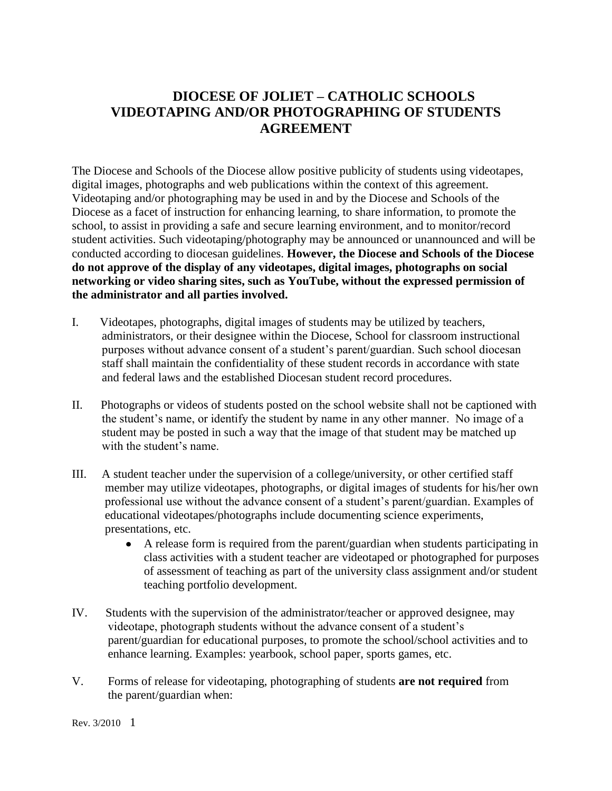## **DIOCESE OF JOLIET – CATHOLIC SCHOOLS VIDEOTAPING AND/OR PHOTOGRAPHING OF STUDENTS AGREEMENT**

The Diocese and Schools of the Diocese allow positive publicity of students using videotapes, digital images, photographs and web publications within the context of this agreement. Videotaping and/or photographing may be used in and by the Diocese and Schools of the Diocese as a facet of instruction for enhancing learning, to share information, to promote the school, to assist in providing a safe and secure learning environment, and to monitor/record student activities. Such videotaping/photography may be announced or unannounced and will be conducted according to diocesan guidelines. **However, the Diocese and Schools of the Diocese do not approve of the display of any videotapes, digital images, photographs on social networking or video sharing sites, such as YouTube, without the expressed permission of the administrator and all parties involved.** 

- I. Videotapes, photographs, digital images of students may be utilized by teachers, administrators, or their designee within the Diocese, School for classroom instructional purposes without advance consent of a student's parent/guardian. Such school diocesan staff shall maintain the confidentiality of these student records in accordance with state and federal laws and the established Diocesan student record procedures.
- II. Photographs or videos of students posted on the school website shall not be captioned with the student's name, or identify the student by name in any other manner. No image of a student may be posted in such a way that the image of that student may be matched up with the student's name.
- III. A student teacher under the supervision of a college/university, or other certified staff member may utilize videotapes, photographs, or digital images of students for his/her own professional use without the advance consent of a student's parent/guardian. Examples of educational videotapes/photographs include documenting science experiments, presentations, etc.
	- $\bullet$ A release form is required from the parent/guardian when students participating in class activities with a student teacher are videotaped or photographed for purposes of assessment of teaching as part of the university class assignment and/or student teaching portfolio development.
- IV. Students with the supervision of the administrator/teacher or approved designee, may videotape, photograph students without the advance consent of a student's parent/guardian for educational purposes, to promote the school/school activities and to enhance learning. Examples: yearbook, school paper, sports games, etc.
- V. Forms of release for videotaping, photographing of students **are not required** from the parent/guardian when:

Rev. 3/2010 1